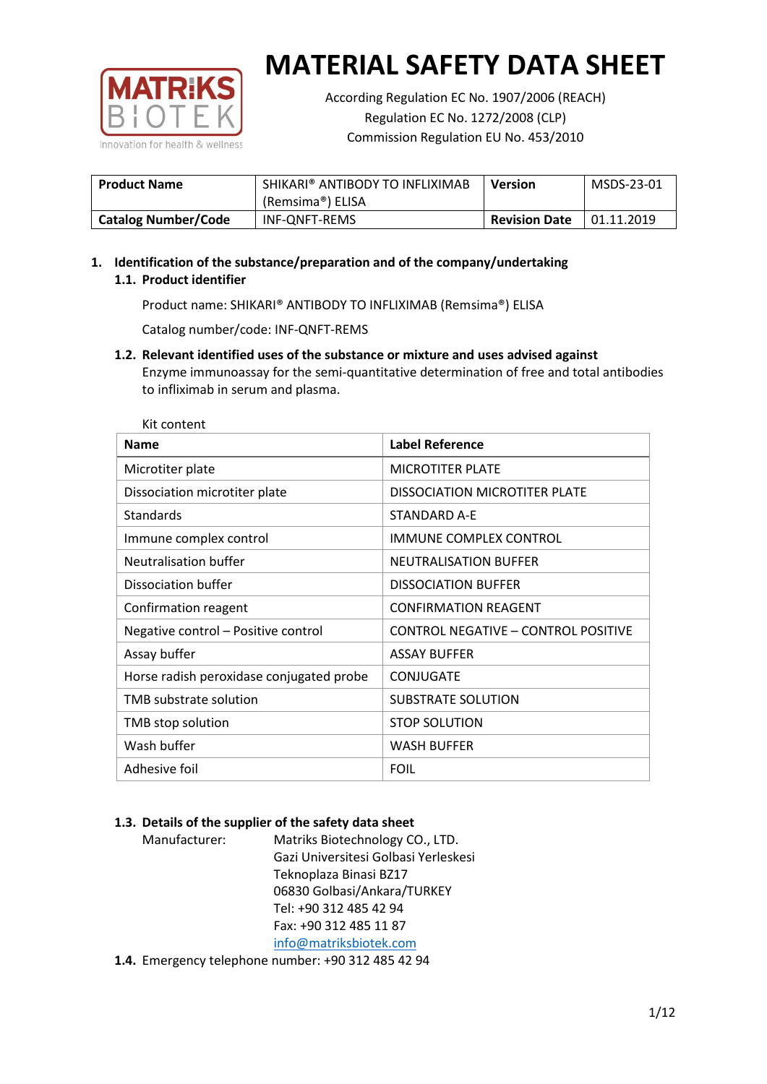

According Regulation EC No. 1907/2006 (REACH) Regulation EC No. 1272/2008 (CLP) Commission Regulation EU No. 453/2010

| <b>Product Name</b>        | SHIKARI® ANTIBODY TO INFLIXIMAB<br>(Remsima®) ELISA | <b>Version</b>       | MSDS-23-01  |
|----------------------------|-----------------------------------------------------|----------------------|-------------|
| <b>Catalog Number/Code</b> | INF-ONFT-REMS                                       | <b>Revision Date</b> | 101.11.2019 |

# **1. Identification of the substance/preparation and of the company/undertaking 1.1. Product identifier**

Product name: SHIKARI® ANTIBODY TO INFLIXIMAB (Remsima®) ELISA

Catalog number/code: INF-QNFT-REMS

**1.2. Relevant identified uses of the substance or mixture and uses advised against** Enzyme immunoassay for the semi-quantitative determination of free and total antibodies to infliximab in serum and plasma.

| Kit content                              |                                            |
|------------------------------------------|--------------------------------------------|
| <b>Name</b>                              | <b>Label Reference</b>                     |
| Microtiter plate                         | <b>MICROTITER PLATE</b>                    |
| Dissociation microtiter plate            | <b>DISSOCIATION MICROTITER PLATE</b>       |
| Standards                                | <b>STANDARD A-E</b>                        |
| Immune complex control                   | <b>IMMUNE COMPLEX CONTROL</b>              |
| Neutralisation buffer                    | <b>NEUTRALISATION BUFFER</b>               |
| Dissociation buffer                      | <b>DISSOCIATION BUFFER</b>                 |
| Confirmation reagent                     | <b>CONFIRMATION REAGENT</b>                |
| Negative control - Positive control      | <b>CONTROL NEGATIVE - CONTROL POSITIVE</b> |
| Assay buffer                             | <b>ASSAY BUFFER</b>                        |
| Horse radish peroxidase conjugated probe | <b>CONJUGATE</b>                           |
| TMB substrate solution                   | SUBSTRATE SOLUTION                         |
| TMB stop solution                        | <b>STOP SOLUTION</b>                       |
| Wash buffer                              | <b>WASH BUFFER</b>                         |
| Adhesive foil                            | <b>FOIL</b>                                |

# **1.3. Details of the supplier of the safety data sheet**

| Manufacturer: | Matriks Biotechnology CO., LTD.      |
|---------------|--------------------------------------|
|               | Gazi Universitesi Golbasi Yerleskesi |
|               | Teknoplaza Binasi BZ17               |
|               | 06830 Golbasi/Ankara/TURKEY          |
|               | Tel: +90 312 485 42 94               |
|               | Fax: +90 312 485 11 87               |
|               | info@matriksbiotek.com               |
|               |                                      |

**1.4.** Emergency telephone number: +90 312 485 42 94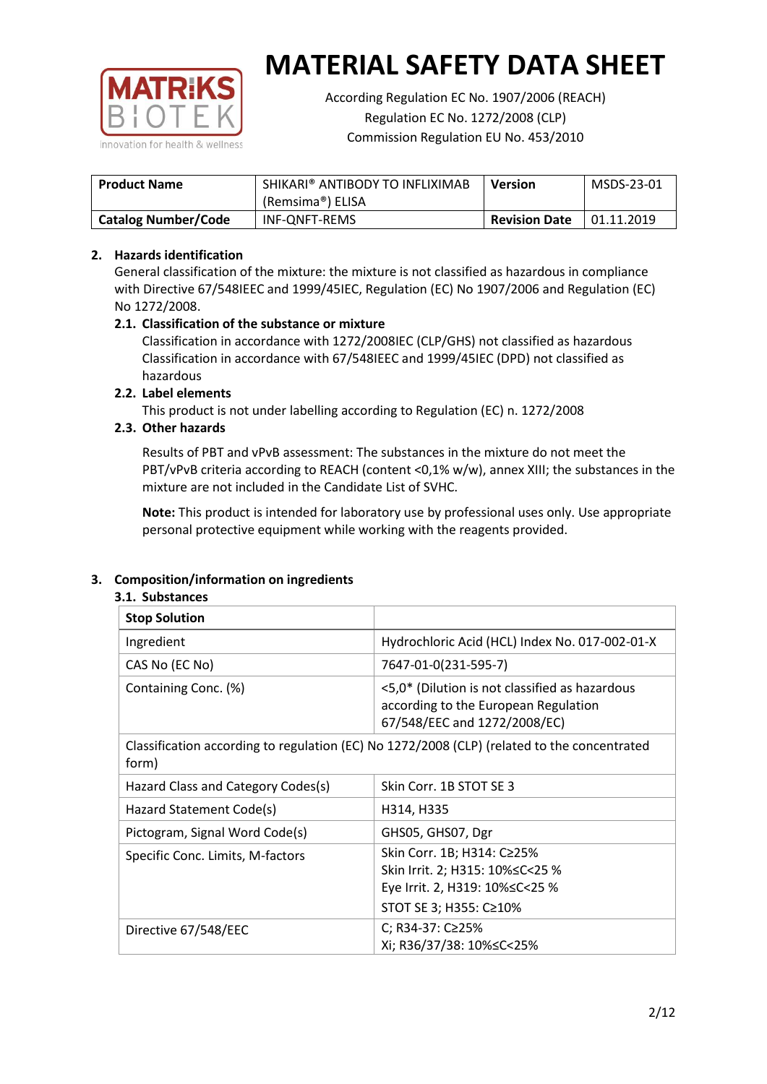

According Regulation EC No. 1907/2006 (REACH) Regulation EC No. 1272/2008 (CLP) Commission Regulation EU No. 453/2010

| <b>Product Name</b>        | SHIKARI® ANTIBODY TO INFLIXIMAB<br>(Remsima®) ELISA | <b>Version</b>       | MSDS-23-01 |
|----------------------------|-----------------------------------------------------|----------------------|------------|
| <b>Catalog Number/Code</b> | INF-ONFT-REMS                                       | <b>Revision Date</b> | 01.11.2019 |

# **2. Hazards identification**

General classification of the mixture: the mixture is not classified as hazardous in compliance with Directive 67/548IEEC and 1999/45IEC, Regulation (EC) No 1907/2006 and Regulation (EC) No 1272/2008.

# **2.1. Classification of the substance or mixture**

Classification in accordance with 1272/2008IEC (CLP/GHS) not classified as hazardous Classification in accordance with 67/548IEEC and 1999/45IEC (DPD) not classified as hazardous

# **2.2. Label elements**

This product is not under labelling according to Regulation (EC) n. 1272/2008

# **2.3. Other hazards**

Results of PBT and vPvB assessment: The substances in the mixture do not meet the PBT/vPvB criteria according to REACH (content <0,1% w/w), annex XIII; the substances in the mixture are not included in the Candidate List of SVHC.

**Note:** This product is intended for laboratory use by professional uses only. Use appropriate personal protective equipment while working with the reagents provided.

# **3. Composition/information on ingredients**

#### **3.1. Substances**

| <b>Stop Solution</b>               |                                                                                                                           |
|------------------------------------|---------------------------------------------------------------------------------------------------------------------------|
| Ingredient                         | Hydrochloric Acid (HCL) Index No. 017-002-01-X                                                                            |
| CAS No (EC No)                     | 7647-01-0(231-595-7)                                                                                                      |
| Containing Conc. (%)               | <5,0* (Dilution is not classified as hazardous<br>according to the European Regulation<br>67/548/EEC and 1272/2008/EC)    |
| form)                              | Classification according to regulation (EC) No 1272/2008 (CLP) (related to the concentrated                               |
| Hazard Class and Category Codes(s) | Skin Corr. 1B STOT SE 3                                                                                                   |
| Hazard Statement Code(s)           | H314, H335                                                                                                                |
| Pictogram, Signal Word Code(s)     | GHS05, GHS07, Dgr                                                                                                         |
| Specific Conc. Limits, M-factors   | Skin Corr. 1B; H314: C≥25%<br>Skin Irrit. 2; H315: 10%≤C<25 %<br>Eye Irrit. 2, H319: 10%≤C<25 %<br>STOT SE 3; H355: C≥10% |
| Directive 67/548/EEC               | C; R34-37: C≥25%<br>Xi; R36/37/38: 10%≤C<25%                                                                              |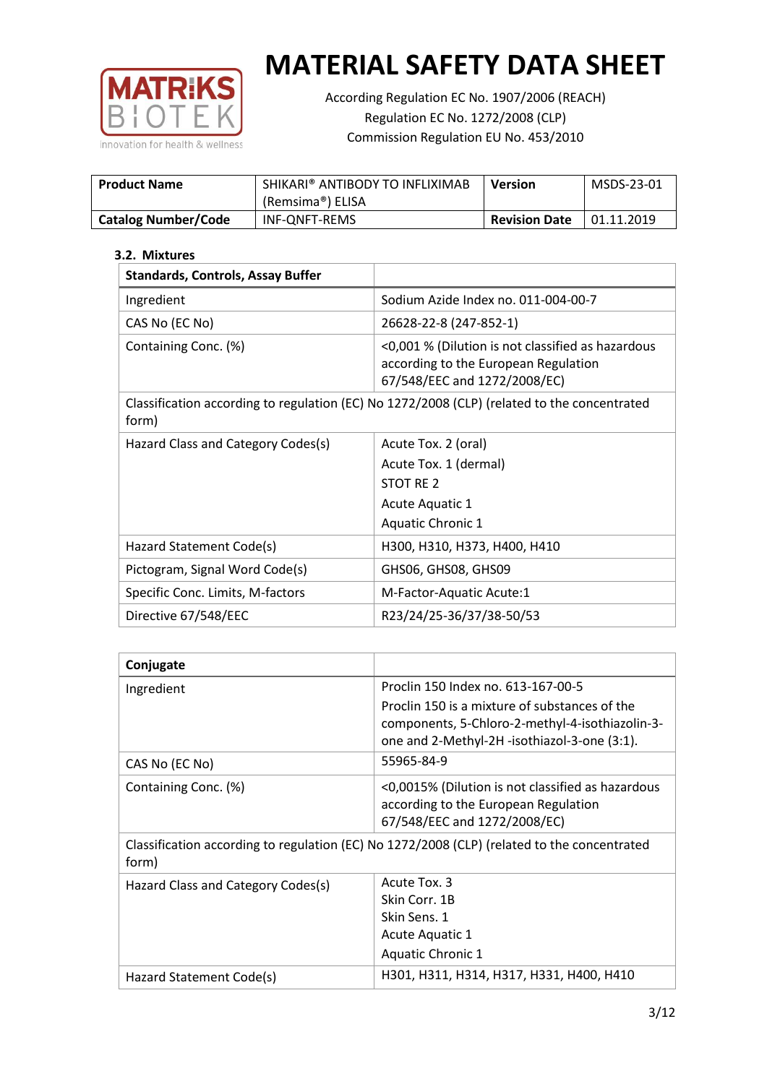

According Regulation EC No. 1907/2006 (REACH) Regulation EC No. 1272/2008 (CLP) Commission Regulation EU No. 453/2010

| <b>Product Name</b>        | SHIKARI® ANTIBODY TO INFLIXIMAB<br>(Remsima®) ELISA | <b>Version</b>       | MSDS-23-01 |
|----------------------------|-----------------------------------------------------|----------------------|------------|
| <b>Catalog Number/Code</b> | INF-ONFT-REMS                                       | <b>Revision Date</b> | 01.11.2019 |

# **3.2. Mixtures**

| <b>Standards, Controls, Assay Buffer</b> |                                                                                                                           |
|------------------------------------------|---------------------------------------------------------------------------------------------------------------------------|
| Ingredient                               | Sodium Azide Index no. 011-004-00-7                                                                                       |
| CAS No (EC No)                           | 26628-22-8 (247-852-1)                                                                                                    |
| Containing Conc. (%)                     | <0,001 % (Dilution is not classified as hazardous<br>according to the European Regulation<br>67/548/EEC and 1272/2008/EC) |
| form)                                    | Classification according to regulation (EC) No 1272/2008 (CLP) (related to the concentrated                               |
| Hazard Class and Category Codes(s)       | Acute Tox. 2 (oral)                                                                                                       |
|                                          | Acute Tox. 1 (dermal)                                                                                                     |
|                                          | STOT RE 2                                                                                                                 |
|                                          | Acute Aquatic 1                                                                                                           |
|                                          | <b>Aquatic Chronic 1</b>                                                                                                  |
| Hazard Statement Code(s)                 | H300, H310, H373, H400, H410                                                                                              |
| Pictogram, Signal Word Code(s)           | GHS06, GHS08, GHS09                                                                                                       |
| Specific Conc. Limits, M-factors         | M-Factor-Aquatic Acute:1                                                                                                  |
| Directive 67/548/EEC                     | R23/24/25-36/37/38-50/53                                                                                                  |

| Conjugate                          |                                                                                                 |
|------------------------------------|-------------------------------------------------------------------------------------------------|
| Ingredient                         | Proclin 150 Index no. 613-167-00-5                                                              |
|                                    | Proclin 150 is a mixture of substances of the                                                   |
|                                    | components, 5-Chloro-2-methyl-4-isothiazolin-3-<br>one and 2-Methyl-2H -isothiazol-3-one (3:1). |
| CAS No (EC No)                     | 55965-84-9                                                                                      |
| Containing Conc. (%)               | <0,0015% (Dilution is not classified as hazardous                                               |
|                                    | according to the European Regulation<br>67/548/EEC and 1272/2008/EC)                            |
|                                    |                                                                                                 |
| form)                              | Classification according to regulation (EC) No 1272/2008 (CLP) (related to the concentrated     |
| Hazard Class and Category Codes(s) | Acute Tox. 3                                                                                    |
|                                    | Skin Corr. 1B                                                                                   |
|                                    | Skin Sens. 1                                                                                    |
|                                    | Acute Aquatic 1                                                                                 |
|                                    | <b>Aquatic Chronic 1</b>                                                                        |
| Hazard Statement Code(s)           | H301, H311, H314, H317, H331, H400, H410                                                        |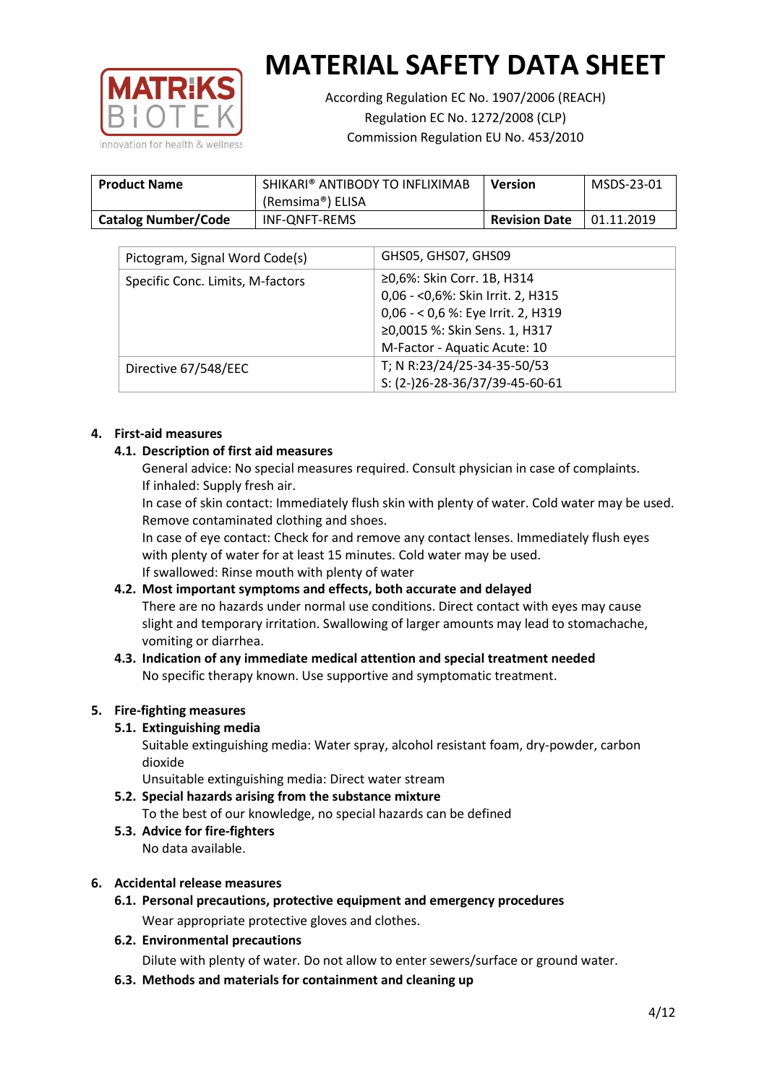

According Regulation EC No. 1907/2006 (REACH) Regulation EC No. 1272/2008 (CLP) Commission Regulation EU No. 453/2010

| <b>Product Name</b>        | SHIKARI® ANTIBODY TO INFLIXIMAB<br>(Remsima®) ELISA | <b>Version</b>       | MSDS-23-01 |
|----------------------------|-----------------------------------------------------|----------------------|------------|
| <b>Catalog Number/Code</b> | INF-ONFT-REMS                                       | <b>Revision Date</b> | 01.11.2019 |

| Pictogram, Signal Word Code(s)   | GHS05, GHS07, GHS09                |
|----------------------------------|------------------------------------|
| Specific Conc. Limits, M-factors | ≥0,6%: Skin Corr. 1B, H314         |
|                                  | 0,06 - < 0,6%: Skin Irrit. 2, H315 |
|                                  | 0,06 - < 0,6 %: Eye Irrit. 2, H319 |
|                                  | ≥0,0015 %: Skin Sens. 1, H317      |
|                                  | M-Factor - Aquatic Acute: 10       |
| Directive 67/548/EEC             | T; N R:23/24/25-34-35-50/53        |
|                                  | S: (2-)26-28-36/37/39-45-60-61     |

#### **4. First-aid measures**

# **4.1. Description of first aid measures**

General advice: No special measures required. Consult physician in case of complaints. If inhaled: Supply fresh air.

In case of skin contact: Immediately flush skin with plenty of water. Cold water may be used. Remove contaminated clothing and shoes.

In case of eye contact: Check for and remove any contact lenses. Immediately flush eyes with plenty of water for at least 15 minutes. Cold water may be used. If swallowed: Rinse mouth with plenty of water

# **4.2. Most important symptoms and effects, both accurate and delayed** There are no hazards under normal use conditions. Direct contact with eyes may cause

slight and temporary irritation. Swallowing of larger amounts may lead to stomachache, vomiting or diarrhea.

#### **4.3. Indication of any immediate medical attention and special treatment needed** No specific therapy known. Use supportive and symptomatic treatment.

# **5. Fire-fighting measures**

# **5.1. Extinguishing media**

Suitable extinguishing media: Water spray, alcohol resistant foam, dry-powder, carbon dioxide

Unsuitable extinguishing media: Direct water stream

- **5.2. Special hazards arising from the substance mixture** To the best of our knowledge, no special hazards can be defined
- **5.3. Advice for fire-fighters** No data available.

# **6. Accidental release measures**

**6.1. Personal precautions, protective equipment and emergency procedures** Wear appropriate protective gloves and clothes.

# **6.2. Environmental precautions**

Dilute with plenty of water. Do not allow to enter sewers/surface or ground water.

**6.3. Methods and materials for containment and cleaning up**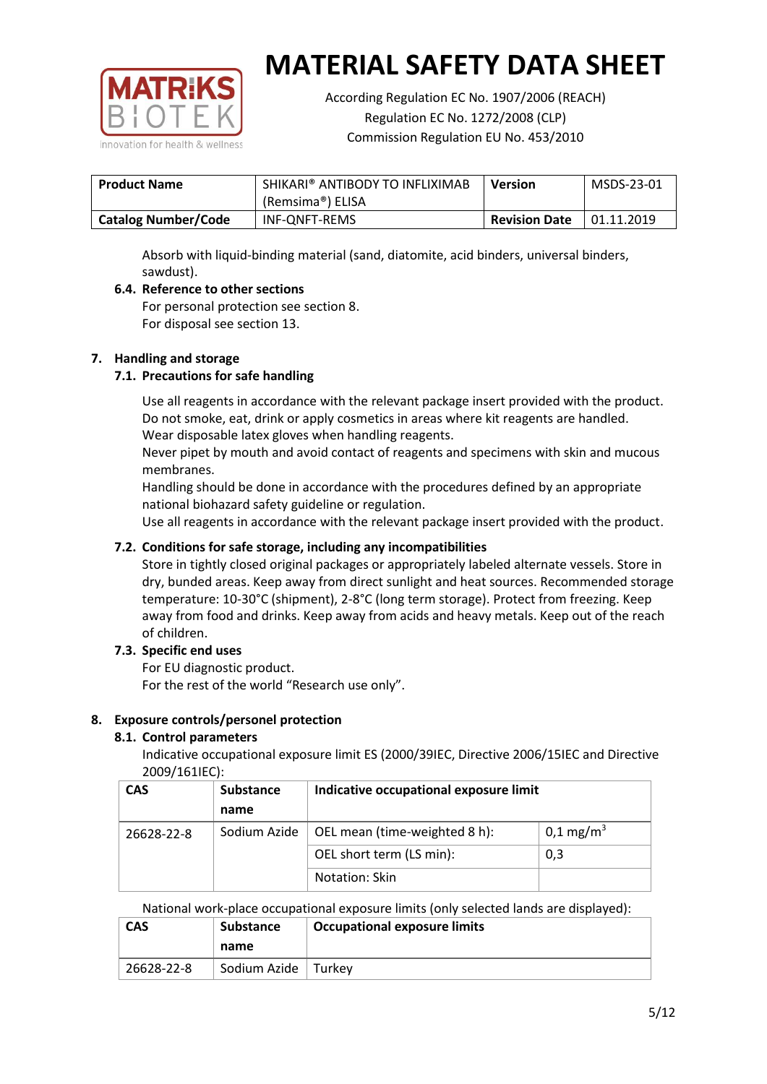

According Regulation EC No. 1907/2006 (REACH) Regulation EC No. 1272/2008 (CLP) Commission Regulation EU No. 453/2010

| <b>Product Name</b>        | SHIKARI® ANTIBODY TO INFLIXIMAB<br><b>Version</b> |                      | MSDS-23-01 |
|----------------------------|---------------------------------------------------|----------------------|------------|
|                            | (Remsima®) ELISA                                  |                      |            |
| <b>Catalog Number/Code</b> | INF-ONFT-REMS                                     | <b>Revision Date</b> | 01.11.2019 |

Absorb with liquid-binding material (sand, diatomite, acid binders, universal binders, sawdust).

# **6.4. Reference to other sections**

For personal protection see section 8. For disposal see section 13.

#### **7. Handling and storage**

# **7.1. Precautions for safe handling**

Use all reagents in accordance with the relevant package insert provided with the product. Do not smoke, eat, drink or apply cosmetics in areas where kit reagents are handled. Wear disposable latex gloves when handling reagents.

Never pipet by mouth and avoid contact of reagents and specimens with skin and mucous membranes.

Handling should be done in accordance with the procedures defined by an appropriate national biohazard safety guideline or regulation.

Use all reagents in accordance with the relevant package insert provided with the product.

# **7.2. Conditions for safe storage, including any incompatibilities**

Store in tightly closed original packages or appropriately labeled alternate vessels. Store in dry, bunded areas. Keep away from direct sunlight and heat sources. Recommended storage temperature: 10-30°C (shipment), 2-8°C (long term storage). Protect from freezing. Keep away from food and drinks. Keep away from acids and heavy metals. Keep out of the reach of children.

# **7.3. Specific end uses**

For EU diagnostic product.

For the rest of the world "Research use only".

# **8. Exposure controls/personel protection**

# **8.1. Control parameters**

Indicative occupational exposure limit ES (2000/39IEC, Directive 2006/15IEC and Directive 2009/161IEC):

| <b>CAS</b> | <b>Substance</b> | Indicative occupational exposure limit |                       |
|------------|------------------|----------------------------------------|-----------------------|
|            | name             |                                        |                       |
| 26628-22-8 | Sodium Azide     | OEL mean (time-weighted 8 h):          | 0,1 mg/m <sup>3</sup> |
|            |                  | OEL short term (LS min):               | 0,3                   |
|            |                  | Notation: Skin                         |                       |

#### National work-place occupational exposure limits (only selected lands are displayed):

| <b>CAS</b><br><b>Substance</b> |            |                       | <b>Occupational exposure limits</b> |
|--------------------------------|------------|-----------------------|-------------------------------------|
|                                |            | name                  |                                     |
|                                | 26628-22-8 | Sodium Azide   Turkey |                                     |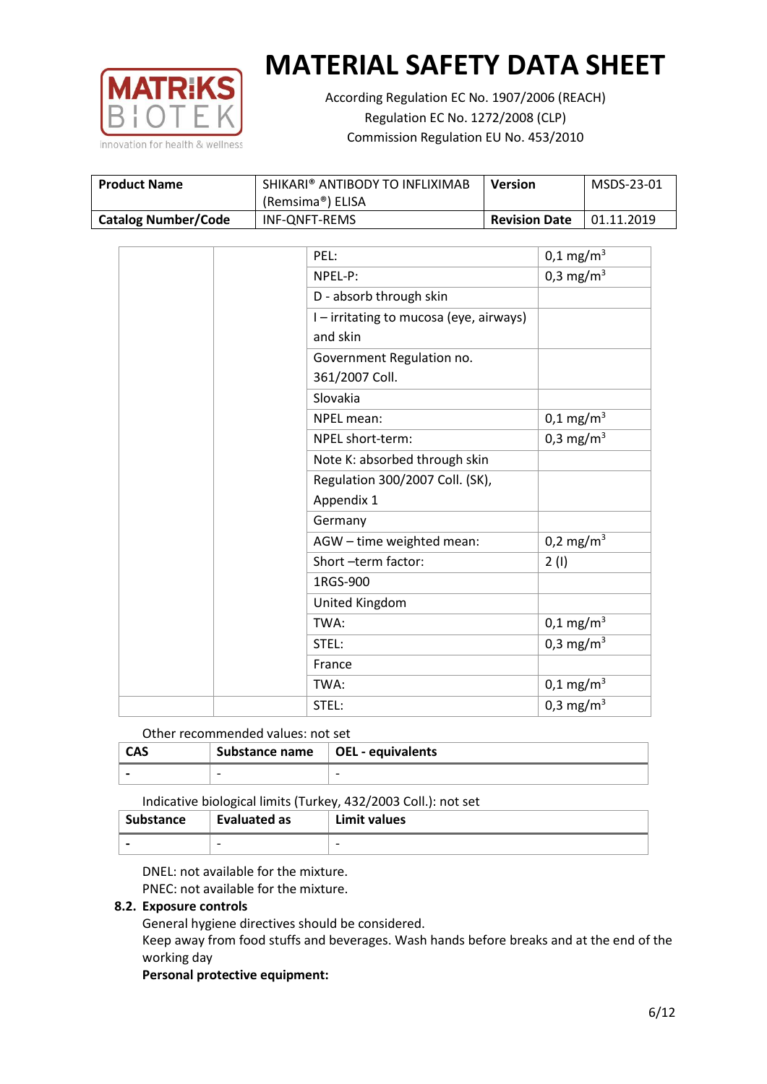

According Regulation EC No. 1907/2006 (REACH) Regulation EC No. 1272/2008 (CLP) Commission Regulation EU No. 453/2010

| <b>Product Name</b>        | SHIKARI® ANTIBODY TO INFLIXIMAB<br>(Remsima®) ELISA | Version              | MSDS-23-01 |
|----------------------------|-----------------------------------------------------|----------------------|------------|
| <b>Catalog Number/Code</b> | INF-ONFT-REMS                                       | <b>Revision Date</b> | 01.11.2019 |

| PEL:                                    | $0,1 \text{ mg/m}^3$  |
|-----------------------------------------|-----------------------|
| NPEL-P:                                 | 0,3 mg/m <sup>3</sup> |
| D - absorb through skin                 |                       |
| I - irritating to mucosa (eye, airways) |                       |
| and skin                                |                       |
| Government Regulation no.               |                       |
| 361/2007 Coll.                          |                       |
| Slovakia                                |                       |
| NPEL mean:                              | $0,1 \text{ mg/m}^3$  |
| NPEL short-term:                        | 0,3 mg/m <sup>3</sup> |
| Note K: absorbed through skin           |                       |
| Regulation 300/2007 Coll. (SK),         |                       |
| Appendix 1                              |                       |
| Germany                                 |                       |
| AGW - time weighted mean:               | $0,2 \text{ mg/m}^3$  |
| Short -term factor:                     | 2(1)                  |
| 1RGS-900                                |                       |
| United Kingdom                          |                       |
| TWA:                                    | $0,1 \text{ mg/m}^3$  |
| STEL:                                   | 0,3 mg/m <sup>3</sup> |
| France                                  |                       |
| TWA:                                    | $0,1 \text{ mg/m}^3$  |
| STEL:                                   | 0,3 mg/m <sup>3</sup> |

# Other recommended values: not set

| <b>CAS</b> | Substance name   OEL - equivalents |  |
|------------|------------------------------------|--|
|            | $\overline{\phantom{0}}$           |  |

#### Indicative biological limits (Turkey, 432/2003 Coll.): not set

| Substance                | Evaluated as | Limit values             |
|--------------------------|--------------|--------------------------|
| $\overline{\phantom{0}}$ | -            | $\overline{\phantom{0}}$ |

DNEL: not available for the mixture. PNEC: not available for the mixture.

# **8.2. Exposure controls**

General hygiene directives should be considered.

Keep away from food stuffs and beverages. Wash hands before breaks and at the end of the working day

#### **Personal protective equipment:**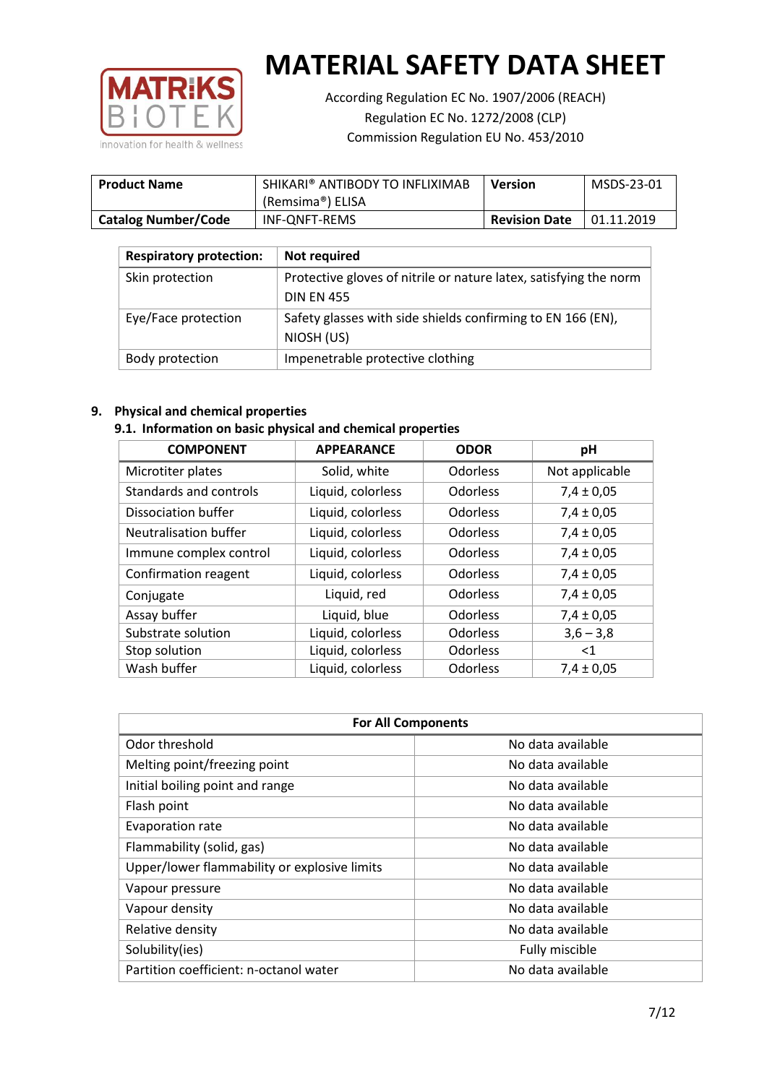

According Regulation EC No. 1907/2006 (REACH) Regulation EC No. 1272/2008 (CLP) Commission Regulation EU No. 453/2010

| <b>Product Name</b>        | SHIKARI® ANTIBODY TO INFLIXIMAB<br>(Remsima®) ELISA | <b>Version</b>       | MSDS-23-01 |
|----------------------------|-----------------------------------------------------|----------------------|------------|
| <b>Catalog Number/Code</b> | INF-ONFT-REMS                                       | <b>Revision Date</b> | 01.11.2019 |

| <b>Respiratory protection:</b> | Not required                                                      |
|--------------------------------|-------------------------------------------------------------------|
| Skin protection                | Protective gloves of nitrile or nature latex, satisfying the norm |
|                                | <b>DIN EN 455</b>                                                 |
| Eye/Face protection            | Safety glasses with side shields confirming to EN 166 (EN),       |
|                                | NIOSH (US)                                                        |
| Body protection                | Impenetrable protective clothing                                  |

# **9. Physical and chemical properties**

#### **9.1. Information on basic physical and chemical properties**

| <b>COMPONENT</b>       | <b>APPEARANCE</b> | <b>ODOR</b>     | pH             |
|------------------------|-------------------|-----------------|----------------|
| Microtiter plates      | Solid, white      | Odorless        | Not applicable |
| Standards and controls | Liquid, colorless | Odorless        | $7,4 \pm 0,05$ |
| Dissociation buffer    | Liquid, colorless | Odorless        | $7,4 \pm 0,05$ |
| Neutralisation buffer  | Liquid, colorless | Odorless        | $7,4 \pm 0,05$ |
| Immune complex control | Liquid, colorless | <b>Odorless</b> | $7,4 \pm 0,05$ |
| Confirmation reagent   | Liquid, colorless | Odorless        | $7,4 \pm 0,05$ |
| Conjugate              | Liquid, red       | Odorless        | $7,4 \pm 0,05$ |
| Assay buffer           | Liquid, blue      | Odorless        | $7,4 \pm 0,05$ |
| Substrate solution     | Liquid, colorless | <b>Odorless</b> | $3,6 - 3,8$    |
| Stop solution          | Liquid, colorless | Odorless        | $<$ 1          |
| Wash buffer            | Liquid, colorless | Odorless        | $7,4 \pm 0,05$ |

| <b>For All Components</b>                    |                   |  |  |
|----------------------------------------------|-------------------|--|--|
| Odor threshold                               | No data available |  |  |
| Melting point/freezing point                 | No data available |  |  |
| Initial boiling point and range              | No data available |  |  |
| Flash point                                  | No data available |  |  |
| Evaporation rate                             | No data available |  |  |
| Flammability (solid, gas)                    | No data available |  |  |
| Upper/lower flammability or explosive limits | No data available |  |  |
| Vapour pressure                              | No data available |  |  |
| Vapour density                               | No data available |  |  |
| Relative density                             | No data available |  |  |
| Solubility(ies)                              | Fully miscible    |  |  |
| Partition coefficient: n-octanol water       | No data available |  |  |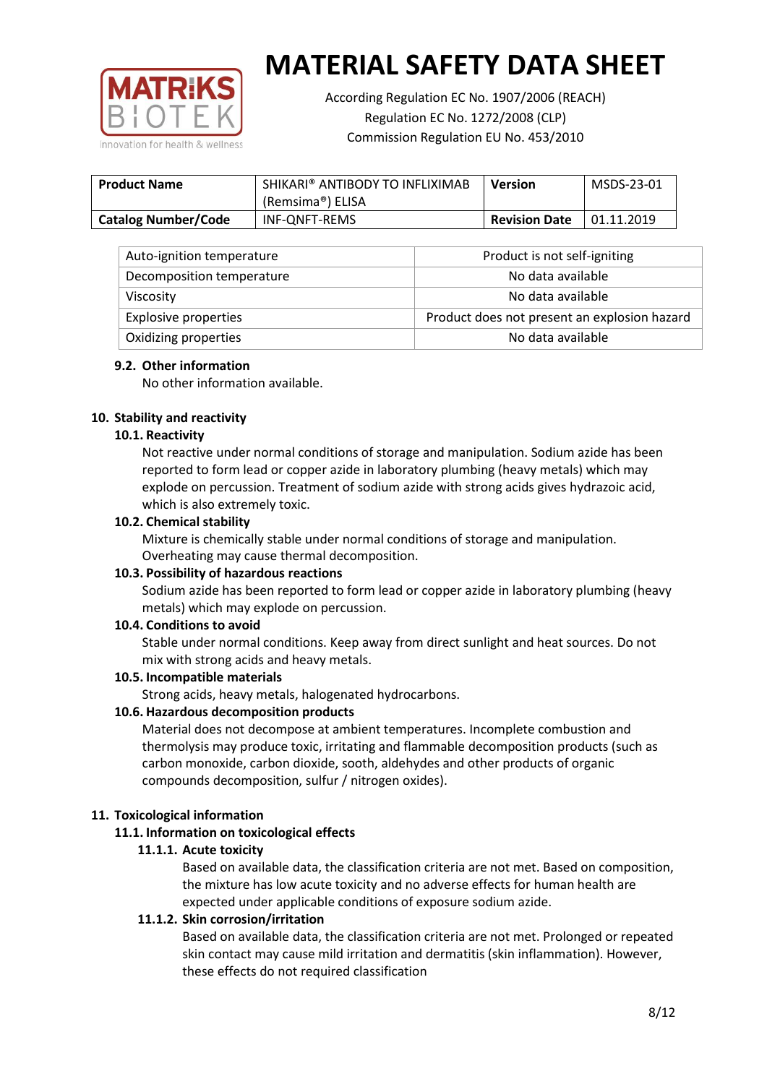

According Regulation EC No. 1907/2006 (REACH) Regulation EC No. 1272/2008 (CLP) Commission Regulation EU No. 453/2010

| <b>Product Name</b>        | SHIKARI® ANTIBODY TO INFLIXIMAB<br>(Remsima®) ELISA | <b>Version</b>       | MSDS-23-01 |
|----------------------------|-----------------------------------------------------|----------------------|------------|
| <b>Catalog Number/Code</b> | INF-ONFT-REMS                                       | <b>Revision Date</b> | 01.11.2019 |

| Auto-ignition temperature   | Product is not self-igniting                 |
|-----------------------------|----------------------------------------------|
| Decomposition temperature   | No data available                            |
| Viscosity                   | No data available                            |
| <b>Explosive properties</b> | Product does not present an explosion hazard |
| Oxidizing properties        | No data available                            |

# **9.2. Other information**

No other information available.

#### **10. Stability and reactivity**

#### **10.1. Reactivity**

Not reactive under normal conditions of storage and manipulation. Sodium azide has been reported to form lead or copper azide in laboratory plumbing (heavy metals) which may explode on percussion. Treatment of sodium azide with strong acids gives hydrazoic acid, which is also extremely toxic.

#### **10.2. Chemical stability**

Mixture is chemically stable under normal conditions of storage and manipulation. Overheating may cause thermal decomposition.

#### **10.3. Possibility of hazardous reactions**

Sodium azide has been reported to form lead or copper azide in laboratory plumbing (heavy metals) which may explode on percussion.

#### **10.4. Conditions to avoid**

Stable under normal conditions. Keep away from direct sunlight and heat sources. Do not mix with strong acids and heavy metals.

#### **10.5. Incompatible materials**

Strong acids, heavy metals, halogenated hydrocarbons.

#### **10.6. Hazardous decomposition products**

Material does not decompose at ambient temperatures. Incomplete combustion and thermolysis may produce toxic, irritating and flammable decomposition products (such as carbon monoxide, carbon dioxide, sooth, aldehydes and other products of organic compounds decomposition, sulfur / nitrogen oxides).

# **11. Toxicological information**

#### **11.1. Information on toxicological effects**

#### **11.1.1. Acute toxicity**

Based on available data, the classification criteria are not met. Based on composition, the mixture has low acute toxicity and no adverse effects for human health are expected under applicable conditions of exposure sodium azide.

# **11.1.2. Skin corrosion/irritation**

Based on available data, the classification criteria are not met. Prolonged or repeated skin contact may cause mild irritation and dermatitis (skin inflammation). However, these effects do not required classification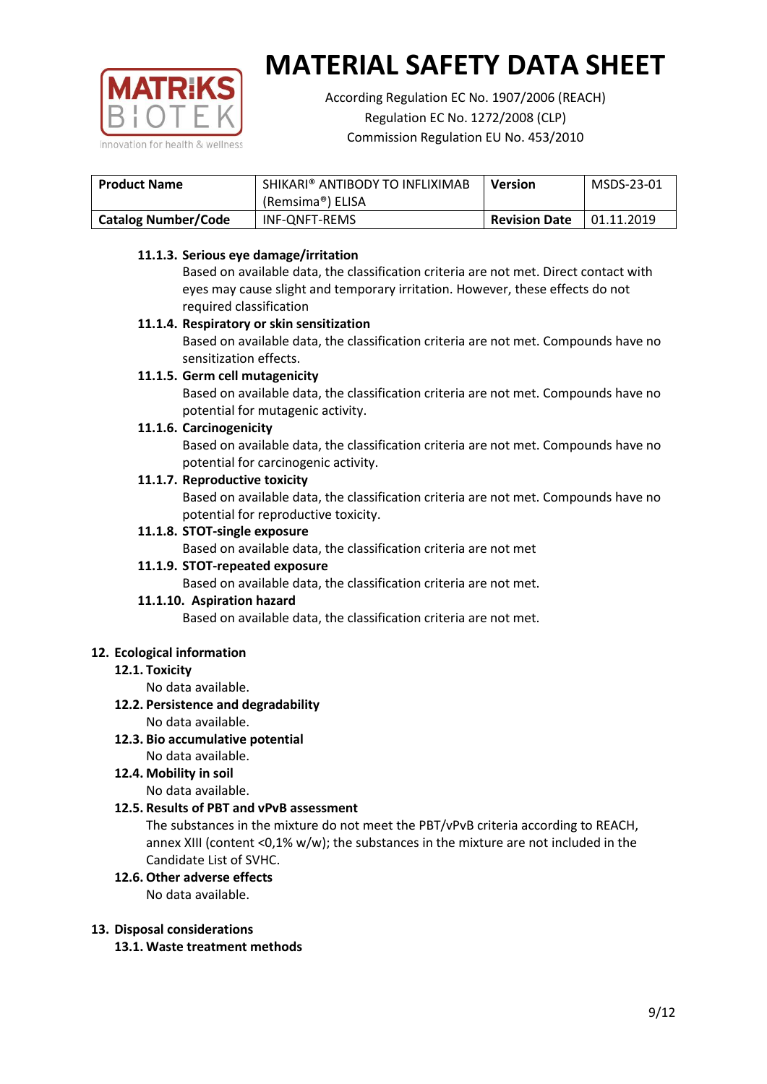

According Regulation EC No. 1907/2006 (REACH) Regulation EC No. 1272/2008 (CLP) Commission Regulation EU No. 453/2010

| <b>Product Name</b>        | SHIKARI® ANTIBODY TO INFLIXIMAB | <b>Version</b>       | MSDS-23-01 |
|----------------------------|---------------------------------|----------------------|------------|
|                            | (Remsima®) ELISA                |                      |            |
| <b>Catalog Number/Code</b> | INF-ONFT-REMS                   | <b>Revision Date</b> | 01.11.2019 |

# **11.1.3. Serious eye damage/irritation**

Based on available data, the classification criteria are not met. Direct contact with eyes may cause slight and temporary irritation. However, these effects do not required classification

# **11.1.4. Respiratory or skin sensitization**

Based on available data, the classification criteria are not met. Compounds have no sensitization effects.

# **11.1.5. Germ cell mutagenicity**

Based on available data, the classification criteria are not met. Compounds have no potential for mutagenic activity.

#### **11.1.6. Carcinogenicity**

Based on available data, the classification criteria are not met. Compounds have no potential for carcinogenic activity.

#### **11.1.7. Reproductive toxicity**

Based on available data, the classification criteria are not met. Compounds have no potential for reproductive toxicity.

#### **11.1.8. STOT-single exposure**

Based on available data, the classification criteria are not met

#### **11.1.9. STOT-repeated exposure**

Based on available data, the classification criteria are not met.

#### **11.1.10. Aspiration hazard**

Based on available data, the classification criteria are not met.

# **12. Ecological information**

#### **12.1. Toxicity**

No data available.

# **12.2. Persistence and degradability**

No data available.

**12.3. Bio accumulative potential** No data available.

# **12.4. Mobility in soil**

No data available.

# **12.5. Results of PBT and vPvB assessment**

The substances in the mixture do not meet the PBT/vPvB criteria according to REACH, annex XIII (content <0,1% w/w); the substances in the mixture are not included in the Candidate List of SVHC.

#### **12.6. Other adverse effects**

No data available.

#### **13. Disposal considerations**

**13.1. Waste treatment methods**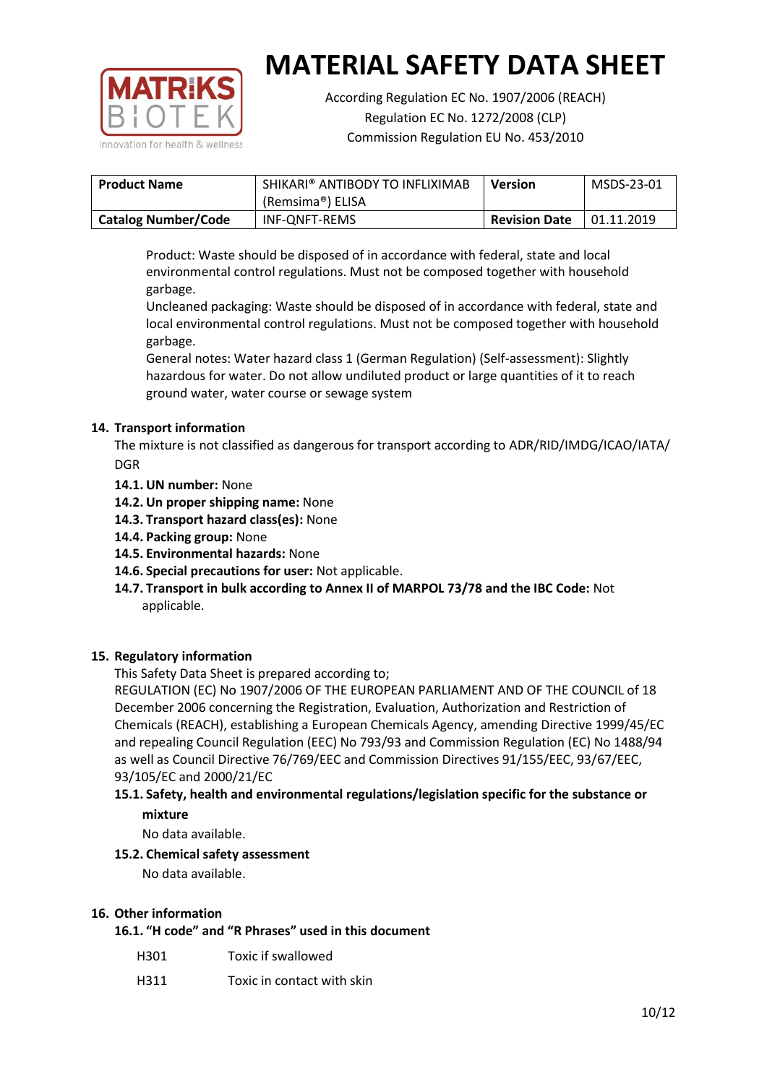

According Regulation EC No. 1907/2006 (REACH) Regulation EC No. 1272/2008 (CLP) Commission Regulation EU No. 453/2010

| <b>Product Name</b>        | SHIKARI® ANTIBODY TO INFLIXIMAB<br>(Remsima®) ELISA | <b>Version</b> | MSDS-23-01 |
|----------------------------|-----------------------------------------------------|----------------|------------|
| <b>Catalog Number/Code</b> | INF-ONFT-REMS<br><b>Revision Date</b>               |                | 01.11.2019 |

Product: Waste should be disposed of in accordance with federal, state and local environmental control regulations. Must not be composed together with household garbage.

Uncleaned packaging: Waste should be disposed of in accordance with federal, state and local environmental control regulations. Must not be composed together with household garbage.

General notes: Water hazard class 1 (German Regulation) (Self-assessment): Slightly hazardous for water. Do not allow undiluted product or large quantities of it to reach ground water, water course or sewage system

# **14. Transport information**

The mixture is not classified as dangerous for transport according to ADR/RID/IMDG/ICAO/IATA/ DGR

- **14.1. UN number:** None
- **14.2. Un proper shipping name:** None
- **14.3. Transport hazard class(es):** None
- **14.4. Packing group:** None
- **14.5. Environmental hazards:** None
- **14.6. Special precautions for user:** Not applicable.
- **14.7. Transport in bulk according to Annex II of MARPOL 73/78 and the IBC Code:** Not applicable.

# **15. Regulatory information**

This Safety Data Sheet is prepared according to;

REGULATION (EC) No 1907/2006 OF THE EUROPEAN PARLIAMENT AND OF THE COUNCIL of 18 December 2006 concerning the Registration, Evaluation, Authorization and Restriction of Chemicals (REACH), establishing a European Chemicals Agency, amending Directive 1999/45/EC and repealing Council Regulation (EEC) No 793/93 and Commission Regulation (EC) No 1488/94 as well as Council Directive 76/769/EEC and Commission Directives 91/155/EEC, 93/67/EEC, 93/105/EC and 2000/21/EC

# **15.1. Safety, health and environmental regulations/legislation specific for the substance or mixture**

No data available.

# **15.2. Chemical safety assessment**

No data available.

# **16. Other information**

**16.1. "H code" and "R Phrases" used in this document**

| Toxic if swallowed<br>H301 |
|----------------------------|
|----------------------------|

H311 Toxic in contact with skin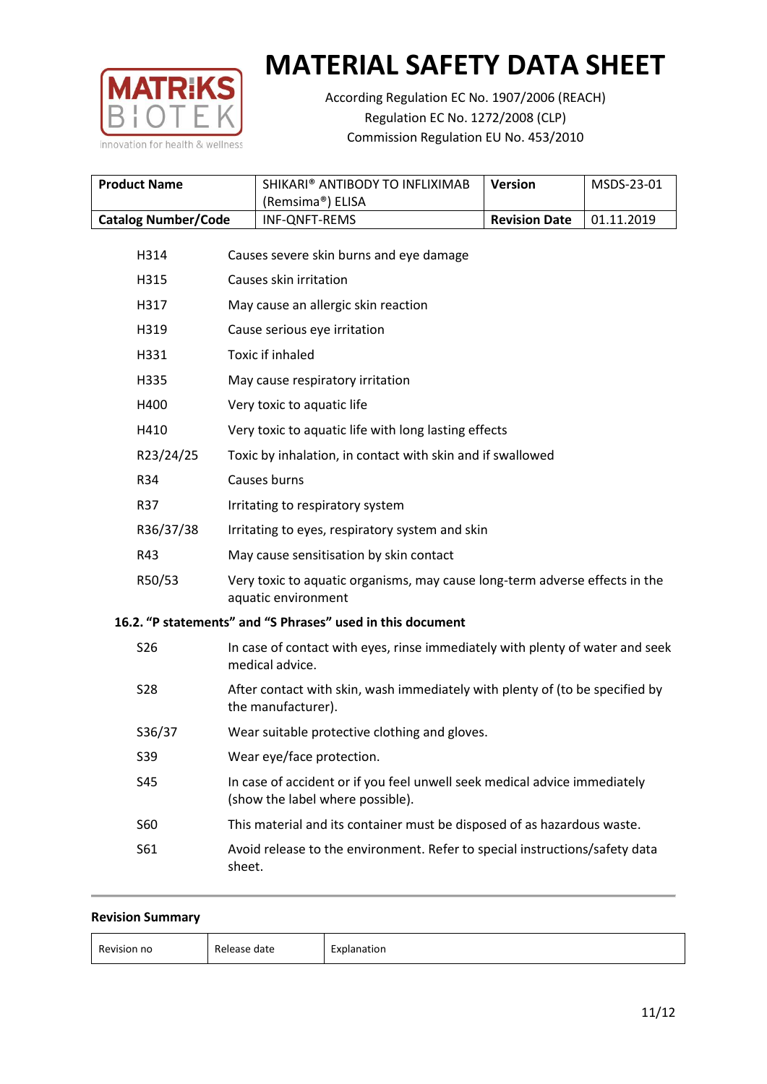

According Regulation EC No. 1907/2006 (REACH) Regulation EC No. 1272/2008 (CLP) Commission Regulation EU No. 453/2010

| <b>Product Name</b>        | SHIKARI® ANTIBODY TO INFLIXIMAB<br>(Remsima®) ELISA | <b>Version</b>       | MSDS-23-01        |
|----------------------------|-----------------------------------------------------|----------------------|-------------------|
| <b>Catalog Number/Code</b> | INF-ONFT-REMS                                       | <b>Revision Date</b> | $\mid$ 01.11.2019 |

| H314       | Causes severe skin burns and eye damage                                                                       |
|------------|---------------------------------------------------------------------------------------------------------------|
| H315       | Causes skin irritation                                                                                        |
| H317       | May cause an allergic skin reaction                                                                           |
| H319       | Cause serious eye irritation                                                                                  |
| H331       | Toxic if inhaled                                                                                              |
| H335       | May cause respiratory irritation                                                                              |
| H400       | Very toxic to aquatic life                                                                                    |
| H410       | Very toxic to aquatic life with long lasting effects                                                          |
| R23/24/25  | Toxic by inhalation, in contact with skin and if swallowed                                                    |
| R34        | Causes burns                                                                                                  |
| R37        | Irritating to respiratory system                                                                              |
| R36/37/38  | Irritating to eyes, respiratory system and skin                                                               |
| R43        | May cause sensitisation by skin contact                                                                       |
| R50/53     | Very toxic to aquatic organisms, may cause long-term adverse effects in the<br>aquatic environment            |
|            | 16.2. "P statements" and "S Phrases" used in this document                                                    |
| <b>S26</b> | In case of contact with eyes, rinse immediately with plenty of water and seek<br>medical advice.              |
| <b>S28</b> | After contact with skin, wash immediately with plenty of (to be specified by<br>the manufacturer).            |
| S36/37     | Wear suitable protective clothing and gloves.                                                                 |
| <b>S39</b> | Wear eye/face protection.                                                                                     |
| <b>S45</b> | In case of accident or if you feel unwell seek medical advice immediately<br>(show the label where possible). |
| <b>S60</b> | This material and its container must be disposed of as hazardous waste.                                       |
| S61        | Avoid release to the environment. Refer to special instructions/safety data<br>sheet.                         |
|            |                                                                                                               |

|  | <b>Revision Summary</b> |
|--|-------------------------|
|--|-------------------------|

| $\overline{\phantom{0}}$<br>Revision no<br>$B$ alaasa<br>date<br>– ⊨vr<br>planation<br>Release<br>$   -$<br>_____<br>____ |  |
|---------------------------------------------------------------------------------------------------------------------------|--|
|---------------------------------------------------------------------------------------------------------------------------|--|